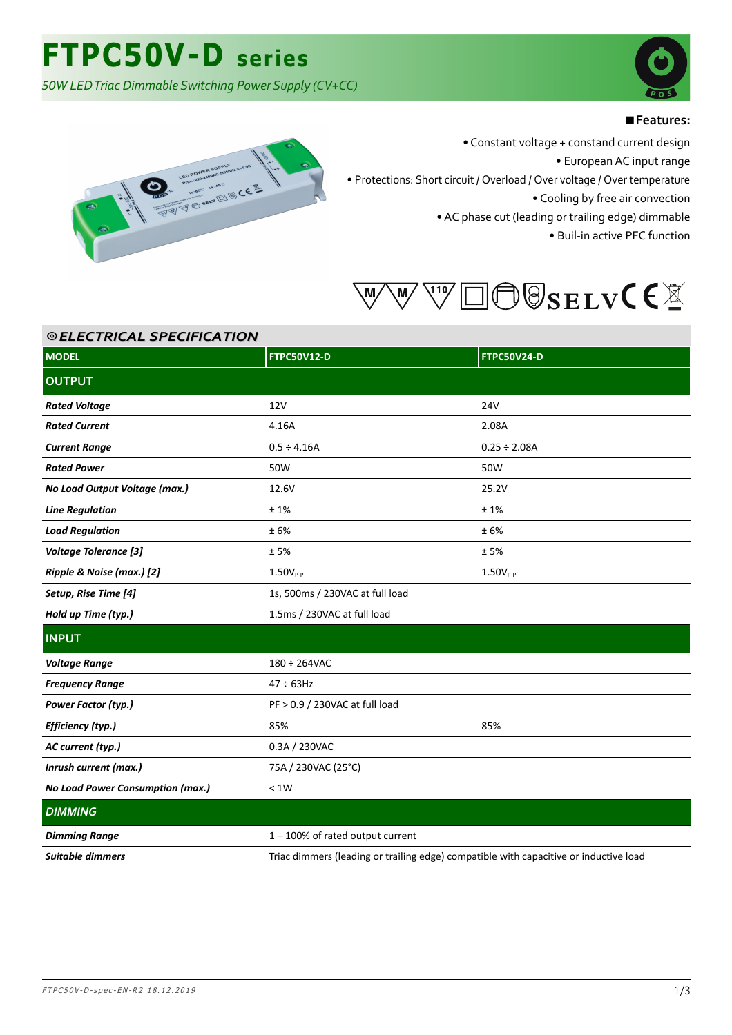*50W LED Triac Dimmable Switching Power Supply (CV+CC)*



### ■**Features:**



⦾ *ELECTRICAL SPECIFICATION*

• Constant voltage + constand current design

• European AC input range

• Protections: Short circuit / Overload / Over voltage / Over temperature

• Cooling by free air convection

• AC phase cut (leading or trailing edge) dimmable

• Buil-in active PFC function



| © ELECTRICAL SPECIFICATION       |                                                                                       |                    |
|----------------------------------|---------------------------------------------------------------------------------------|--------------------|
| <b>MODEL</b>                     | <b>FTPC50V12-D</b>                                                                    | <b>FTPC50V24-D</b> |
| <b>OUTPUT</b>                    |                                                                                       |                    |
| <b>Rated Voltage</b>             | 12V                                                                                   | <b>24V</b>         |
| <b>Rated Current</b>             | 4.16A                                                                                 | 2.08A              |
| <b>Current Range</b>             | $0.5 \div 4.16A$                                                                      | $0.25 \div 2.08A$  |
| <b>Rated Power</b>               | 50W                                                                                   | 50W                |
| No Load Output Voltage (max.)    | 12.6V                                                                                 | 25.2V              |
| <b>Line Regulation</b>           | ±1%                                                                                   | ±1%                |
| <b>Load Regulation</b>           | ±6%                                                                                   | ±6%                |
| <b>Voltage Tolerance [3]</b>     | ±5%                                                                                   | ±5%                |
| Ripple & Noise (max.) [2]        | $1.50V_{P-P}$                                                                         | $1.50V_{P-P}$      |
| Setup, Rise Time [4]             | 1s, 500ms / 230VAC at full load                                                       |                    |
| Hold up Time (typ.)              | 1.5ms / 230VAC at full load                                                           |                    |
| <b>INPUT</b>                     |                                                                                       |                    |
| <b>Voltage Range</b>             | $180 \div 264$ VAC                                                                    |                    |
| <b>Frequency Range</b>           | $47 \div 63$ Hz                                                                       |                    |
| Power Factor (typ.)              | PF > 0.9 / 230VAC at full load                                                        |                    |
| Efficiency (typ.)                | 85%                                                                                   | 85%                |
| AC current (typ.)                | 0.3A / 230VAC                                                                         |                    |
| Inrush current (max.)            | 75A / 230VAC (25°C)                                                                   |                    |
| No Load Power Consumption (max.) | < 1W                                                                                  |                    |
| <b>DIMMING</b>                   |                                                                                       |                    |
| <b>Dimming Range</b>             | 1-100% of rated output current                                                        |                    |
| Suitable dimmers                 | Triac dimmers (leading or trailing edge) compatible with capacitive or inductive load |                    |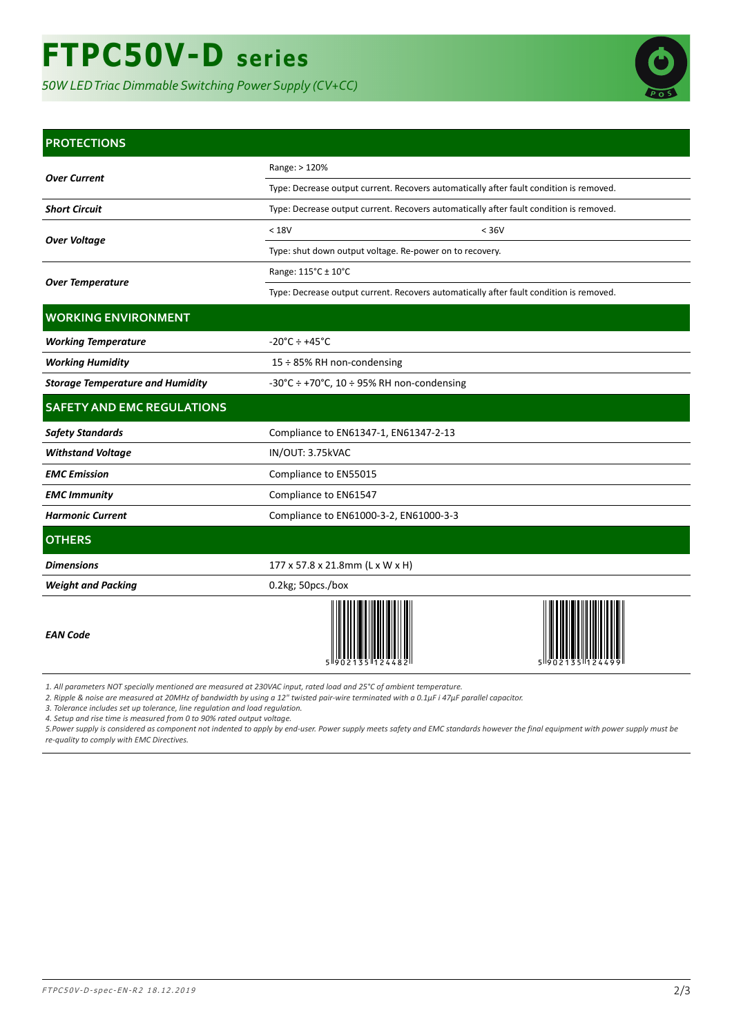

### **PROTECTIONS**

|                                         | Range: > 120%                                                                           |  |
|-----------------------------------------|-----------------------------------------------------------------------------------------|--|
| <b>Over Current</b>                     | Type: Decrease output current. Recovers automatically after fault condition is removed. |  |
| <b>Short Circuit</b>                    | Type: Decrease output current. Recovers automatically after fault condition is removed. |  |
|                                         | < 18V<br>< 36V                                                                          |  |
| <b>Over Voltage</b>                     | Type: shut down output voltage. Re-power on to recovery.                                |  |
|                                         | Range: 115°C ± 10°C                                                                     |  |
| <b>Over Temperature</b>                 | Type: Decrease output current. Recovers automatically after fault condition is removed. |  |
| <b>WORKING ENVIRONMENT</b>              |                                                                                         |  |
| <b>Working Temperature</b>              | $-20^{\circ}$ C ÷ +45 $^{\circ}$ C                                                      |  |
| <b>Working Humidity</b>                 | 15 ÷ 85% RH non-condensing                                                              |  |
| <b>Storage Temperature and Humidity</b> | $-30^{\circ}$ C ÷ +70 $^{\circ}$ C, 10 ÷ 95% RH non-condensing                          |  |
| <b>SAFETY AND EMC REGULATIONS</b>       |                                                                                         |  |
| <b>Safety Standards</b>                 | Compliance to EN61347-1, EN61347-2-13                                                   |  |
| <b>Withstand Voltage</b>                | IN/OUT: 3.75kVAC                                                                        |  |
| <b>EMC</b> Emission                     | Compliance to EN55015                                                                   |  |
| <b>EMC Immunity</b>                     | Compliance to EN61547                                                                   |  |

# **OTHERS**

Harmonic Current **Current** Compliance to EN61000-3-2, EN61000-3-3

*EAN Code*

**Dimensions** 177 x 57.8 x 21.8mm (L x W x H)

**Weight and Packing 1.2kg 0.2kg**; 50pcs./box



*1. All parameters NOT specially mentioned are measured at 230VAC input, rated load and 25°C of ambient temperature.*

*2. Ripple & noise are measured at 20MHz of bandwidth by using a 12" twisted pair-wire terminated with a 0.1μF i 47μF parallel capacitor.*

*3. Tolerance includes set up tolerance, line regulation and load regulation.*

*4. Setup and rise time is measured from 0 to 90% rated output voltage.*

*5.Power supply is considered as component not indented to apply by end-user. Power supply meets safety and EMC standards however the final equipment with power supply must be re-quality to comply with EMC Directives.*